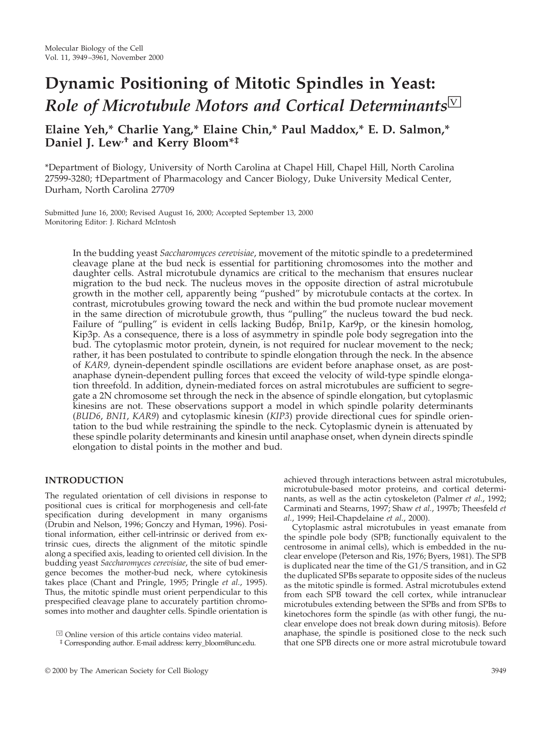# **Dynamic Positioning of Mitotic Spindles in Yeast:** *Role of Microtubule Motors and Cortical Determinants***Ⅳ**

# **Elaine Yeh,\* Charlie Yang,\* Elaine Chin,\* Paul Maddox,\* E. D. Salmon,\* Daniel J. Lew,† and Kerry Bloom\*‡**

\*Department of Biology, University of North Carolina at Chapel Hill, Chapel Hill, North Carolina 27599-3280; †Department of Pharmacology and Cancer Biology, Duke University Medical Center, Durham, North Carolina 27709

Submitted June 16, 2000; Revised August 16, 2000; Accepted September 13, 2000 Monitoring Editor: J. Richard McIntosh

> In the budding yeast *Saccharomyces cerevisiae*, movement of the mitotic spindle to a predetermined cleavage plane at the bud neck is essential for partitioning chromosomes into the mother and daughter cells. Astral microtubule dynamics are critical to the mechanism that ensures nuclear migration to the bud neck. The nucleus moves in the opposite direction of astral microtubule growth in the mother cell, apparently being "pushed" by microtubule contacts at the cortex. In contrast, microtubules growing toward the neck and within the bud promote nuclear movement in the same direction of microtubule growth, thus "pulling" the nucleus toward the bud neck. Failure of "pulling" is evident in cells lacking Bud6p, Bni1p, Kar9p, or the kinesin homolog, Kip3p. As a consequence, there is a loss of asymmetry in spindle pole body segregation into the bud. The cytoplasmic motor protein, dynein, is not required for nuclear movement to the neck; rather, it has been postulated to contribute to spindle elongation through the neck. In the absence of *KAR9,* dynein-dependent spindle oscillations are evident before anaphase onset, as are postanaphase dynein-dependent pulling forces that exceed the velocity of wild-type spindle elongation threefold. In addition, dynein-mediated forces on astral microtubules are sufficient to segregate a 2N chromosome set through the neck in the absence of spindle elongation, but cytoplasmic kinesins are not. These observations support a model in which spindle polarity determinants (*BUD6*, *BNI1*, *KAR9*) and cytoplasmic kinesin (*KIP3*) provide directional cues for spindle orientation to the bud while restraining the spindle to the neck. Cytoplasmic dynein is attenuated by these spindle polarity determinants and kinesin until anaphase onset, when dynein directs spindle elongation to distal points in the mother and bud.

# **INTRODUCTION**

The regulated orientation of cell divisions in response to positional cues is critical for morphogenesis and cell-fate specification during development in many organisms (Drubin and Nelson, 1996; Gonczy and Hyman, 1996). Positional information, either cell-intrinsic or derived from extrinsic cues, directs the alignment of the mitotic spindle along a specified axis, leading to oriented cell division. In the budding yeast *Saccharomyces cerevisiae*, the site of bud emergence becomes the mother-bud neck, where cytokinesis takes place (Chant and Pringle, 1995; Pringle *et al.*, 1995). Thus, the mitotic spindle must orient perpendicular to this prespecified cleavage plane to accurately partition chromosomes into mother and daughter cells. Spindle orientation is

achieved through interactions between astral microtubules, microtubule-based motor proteins, and cortical determinants, as well as the actin cytoskeleton (Palmer *et al.*, 1992; Carminati and Stearns, 1997; Shaw *et al.*, 1997b; Theesfeld *et al.*, 1999; Heil-Chapdelaine *et al.*, 2000).

Cytoplasmic astral microtubules in yeast emanate from the spindle pole body (SPB; functionally equivalent to the centrosome in animal cells), which is embedded in the nuclear envelope (Peterson and Ris, 1976; Byers, 1981). The SPB is duplicated near the time of the G1/S transition, and in G2 the duplicated SPBs separate to opposite sides of the nucleus as the mitotic spindle is formed. Astral microtubules extend from each SPB toward the cell cortex, while intranuclear microtubules extending between the SPBs and from SPBs to kinetochores form the spindle (as with other fungi, the nuclear envelope does not break down during mitosis). Before anaphase, the spindle is positioned close to the neck such that one SPB directs one or more astral microtubule toward

 $\overline{\mathbb{V}}$  Online version of this article contains video material.

<sup>‡</sup> Corresponding author. E-mail address: kerry\_bloom@unc.edu.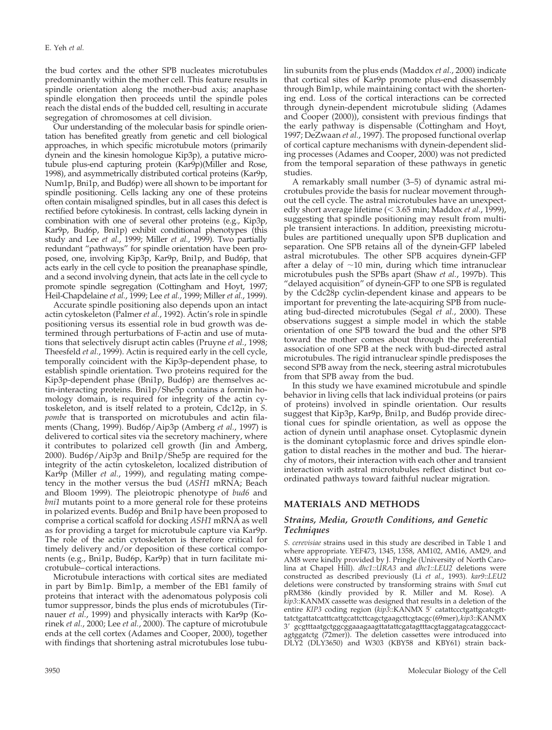the bud cortex and the other SPB nucleates microtubules predominantly within the mother cell. This feature results in spindle orientation along the mother-bud axis; anaphase spindle elongation then proceeds until the spindle poles reach the distal ends of the budded cell, resulting in accurate segregation of chromosomes at cell division.

Our understanding of the molecular basis for spindle orientation has benefited greatly from genetic and cell biological approaches, in which specific microtubule motors (primarily dynein and the kinesin homologue Kip3p), a putative microtubule plus-end capturing protein (Kar9p)(Miller and Rose, 1998), and asymmetrically distributed cortical proteins (Kar9p, Num1p, Bni1p, and Bud6p) were all shown to be important for spindle positioning. Cells lacking any one of these proteins often contain misaligned spindles, but in all cases this defect is rectified before cytokinesis. In contrast, cells lacking dynein in combination with one of several other proteins (e.g., Kip3p, Kar9p, Bud6p, Bni1p) exhibit conditional phenotypes (this study and Lee *et al.*, 1999; Miller *et al.*, 1999). Two partially redundant "pathways" for spindle orientation have been proposed, one, involving Kip3p, Kar9p, Bni1p, and Bud6p, that acts early in the cell cycle to position the preanaphase spindle, and a second involving dynein, that acts late in the cell cycle to promote spindle segregation (Cottingham and Hoyt, 1997; Heil-Chapdelaine *et al.*, 1999; Lee *et al.*, 1999; Miller *et al.*, 1999).

Accurate spindle positioning also depends upon an intact actin cytoskeleton (Palmer *et al.*, 1992). Actin's role in spindle positioning versus its essential role in bud growth was determined through perturbations of F-actin and use of mutations that selectively disrupt actin cables (Pruyne *et al.*, 1998; Theesfeld *et al.*, 1999). Actin is required early in the cell cycle, temporally coincident with the Kip3p-dependent phase, to establish spindle orientation. Two proteins required for the Kip3p-dependent phase (Bni1p, Bud6p) are themselves actin-interacting proteins. Bni1p/She5p contains a formin homology domain, is required for integrity of the actin cytoskeleton, and is itself related to a protein, Cdc12p, in *S. pombe* that is transported on microtubules and actin filaments (Chang, 1999). Bud6p/Aip3p (Amberg *et al.*, 1997) is delivered to cortical sites via the secretory machinery, where it contributes to polarized cell growth (Jin and Amberg, 2000). Bud6p/Aip3p and Bni1p/She5p are required for the integrity of the actin cytoskeleton, localized distribution of Kar<sup>9</sup>p (Miller *et al.*, 1999), and regulating mating competency in the mother versus the bud (*ASH1* mRNA; Beach and Bloom 1999). The pleiotropic phenotype of *bud6* and *bni1* mutants point to a more general role for these proteins in polarized events. Bud6p and Bni1p have been proposed to comprise a cortical scaffold for docking *ASH1* mRNA as well as for providing a target for microtubule capture via Kar9p. The role of the actin cytoskeleton is therefore critical for timely delivery and/or deposition of these cortical components (e.g., Bni1p, Bud6p, Kar9p) that in turn facilitate microtubule–cortical interactions.

Microtubule interactions with cortical sites are mediated in part by Bim1p. Bim1p, a member of the EB1 family of proteins that interact with the adenomatous polyposis coli tumor suppressor, binds the plus ends of microtubules (Tirnauer *et al.*, 1999) and physically interacts with Kar9p (Korinek *et al.*, 2000; Lee *et al.*, 2000). The capture of microtubule ends at the cell cortex (Adames and Cooper, 2000), together with findings that shortening astral microtubules lose tubulin subunits from the plus ends (Maddox *et al.*, 2000) indicate that cortical sites of Kar9p promote plus-end disassembly through Bim1p, while maintaining contact with the shortening end. Loss of the cortical interactions can be corrected through dynein-dependent microtubule sliding (Adames and Cooper (2000)), consistent with previous findings that the early pathway is dispensable (Cottingham and Hoyt, 1997; DeZwaan *et al.*, 1997). The proposed functional overlap of cortical capture mechanisms with dynein-dependent sliding processes (Adames and Cooper, 2000) was not predicted from the temporal separation of these pathways in genetic studies.

A remarkably small number (3–5) of dynamic astral microtubules provide the basis for nuclear movement throughout the cell cycle. The astral microtubules have an unexpectedly short average lifetime (< 3.65 min; Maddox *et al.*, 1999), suggesting that spindle positioning may result from multiple transient interactions. In addition, preexisting microtubules are partitioned unequally upon SPB duplication and separation. One SPB retains all of the dynein-GFP labeled astral microtubules. The other SPB acquires dynein-GFP after a delay of  $~10$  min, during which time intranuclear microtubules push the SPBs apart (Shaw *et al.*, 1997b). This "delayed acquisition" of dynein-GFP to one SPB is regulated by the Cdc28p cyclin-dependent kinase and appears to be important for preventing the late-acquiring SPB from nucleating bud-directed microtubules (Segal *et al.*, 2000). These observations suggest a simple model in which the stable orientation of one SPB toward the bud and the other SPB toward the mother comes about through the preferential association of one SPB at the neck with bud-directed astral microtubules. The rigid intranuclear spindle predisposes the second SPB away from the neck, steering astral microtubules from that SPB away from the bud.

In this study we have examined microtubule and spindle behavior in living cells that lack individual proteins (or pairs of proteins) involved in spindle orientation. Our results suggest that Kip3p, Kar9p, Bni1p, and Bud6p provide directional cues for spindle orientation, as well as oppose the action of dynein until anaphase onset. Cytoplasmic dynein is the dominant cytoplasmic force and drives spindle elongation to distal reaches in the mother and bud. The hierarchy of motors, their interaction with each other and transient interaction with astral microtubules reflect distinct but coordinated pathways toward faithful nuclear migration.

#### **MATERIALS AND METHODS**

### *Strains, Media, Growth Conditions, and Genetic Techniques*

*S. cerevisiae* strains used in this study are described in Table 1 and where appropriate. YEF473, 1345, 1358, AM102, AM16, AM29, and AM8 were kindly provided by J. Pringle (University of North Carolina at Chapel Hill). *dhc1::URA3* and *dhc1::LEU2* deletions were constructed as described previously (Li *et al.*, 1993). *kar9*::*LEU2* deletions were constructed by transforming strains with *Sma*I cut pRM386 (kindly provided by R. Miller and M. Rose). A *kip3*::KANMX cassette was designed that results in a deletion of the entire *KIP3* coding region (*kip3*::KANMX 5' catattccctgattgcatcgtttatctgattatcatttcattgcattcttcagctgaagcttcgtacgc(69mer),*kip3*::KANMX 39 gcgtttaatgctggcggaaagaagttatattcgatagtttacgtaggatagcataggccactagtggatctg (72mer)). The deletion cassettes were introduced into DLY2 (DLY3650) and W303 (KBY58 and KBY61) strain back-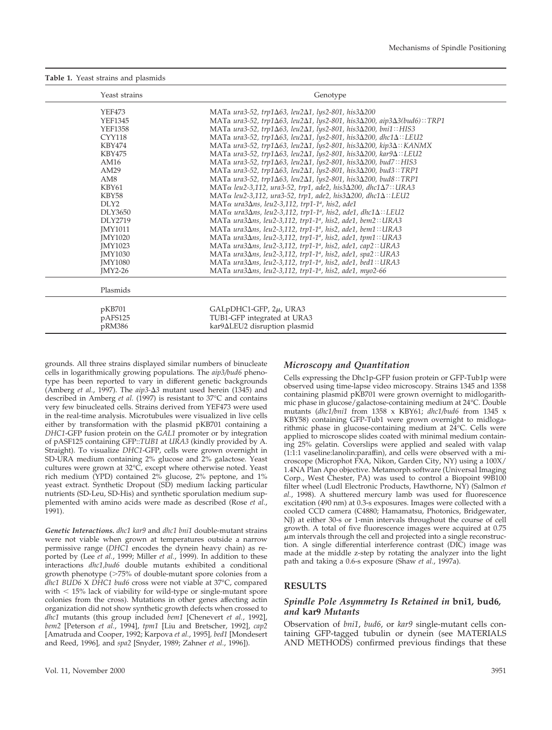#### **Table 1.** Yeast strains and plasmids

| Yeast strains               | Genotype                                                                                                  |
|-----------------------------|-----------------------------------------------------------------------------------------------------------|
| <b>YEF473</b>               | MATa ura3-52, trp1 $\Delta$ 63, leu2 $\Delta$ 1, lys2-801, his3 $\Delta$ 200                              |
| <b>YEF1345</b>              | MATa ura3-52, trp1 $\Delta$ 63, leu2 $\Delta$ 1, lys2-801, his3 $\Delta$ 200, aip3 $\Delta$ 3(bud6)::TRP1 |
| <b>YEF1358</b>              | MATa ura3-52, trp1 $\Delta$ 63, leu2 $\Delta$ 1, lys2-801, his3 $\Delta$ 200, bni1:: HIS3                 |
| <b>CYY118</b>               | MATa ura3-52, trp1 $\Delta$ 63, leu2 $\Delta$ 1, lys2-801, his3 $\Delta$ 200, dhc1 $\Delta$ ::LEU2        |
| <b>KBY474</b>               | MATa ura3-52, trp1 $\Delta$ 63, leu2 $\Delta$ 1, lys2-801, his3 $\Delta$ 200, kip3 $\Delta$ :: KANMX      |
| <b>KBY475</b>               | MATa ura3-52, trp1Δ63, leu2Δ1, lys2-801, his3Δ200, kar9Δ::LEU2                                            |
| AM16                        | MATa ura3-52, trp1Δ63, leu2Δ1, lys2-801, his3Δ200, bud7:: HIS3                                            |
| AM29                        | MATa ura3-52, trp1Δ63, leu2Δ1, lys2-801, his3Δ200, bud3::TRP1                                             |
| AM8                         | MATa ura3-52, trp1Δ63, leu2Δ1, lys2-801, his3Δ200, bud8::TRP1                                             |
| KBY61                       | MAT $\alpha$ leu2-3,112, ura3-52, trp1, ade2, his3 $\Delta$ 200, dhc1 $\Delta$ 7:: URA3                   |
| <b>KBY58</b>                | MAT $\alpha$ leu2-3,112, ura3-52, trp1, ade2, his3 $\Delta$ 200, dhc1 $\Delta$ :: LEU2                    |
| DI.Y2                       | MATα ura3Δns, leu2-3,112, trp1-1 <sup>a</sup> , his2, ade1                                                |
| DLY3650                     | MATα ura3Δns, leu2-3,112, trp1-1 <sup>a</sup> , his2, ade1, dhc1Δ::LEU2                                   |
| DLY2719                     | MATa ura3∆ns, leu2-3,112, trp1-1ª, his2, ade1, bem2:: URA3                                                |
| <b>IMY1011</b>              | MATa ura $3\Delta$ ns, leu $2$ -3,112, trp1-1 <sup>a</sup> , his2, ade1, bem1:: URA3                      |
| <b>IMY1020</b>              | MATa ura $3\Delta$ ns, leu $2-3,112$ , trp1-1 <sup>a</sup> , his $2$ , ade1, tpm1:: URA3                  |
| <b>IMY1023</b>              | MATa ura3∆ns, leu2-3,112, trp1-1 <sup>a</sup> , his2, ade1, cap2:: URA3                                   |
| <b>IMY1030</b>              | MATa ura $3\Delta$ ns, leu $2-3,112$ , trp1-1 <sup>a</sup> , his $2$ , ade1, spa $2$ :: URA3              |
| <b>IMY1080</b>              | MATa ura3∆ns, leu2-3,112, trp1-1ª, his2, ade1, bed1:: URA3                                                |
| $IMY2-26$                   | MATa ura $3\Delta$ ns, leu $2-3,112$ , trp1-1 <sup>a</sup> , his $2$ , ade1, myo2-66                      |
| Plasmids                    |                                                                                                           |
| pKB701<br>pAFS125<br>pRM386 | GALpDHC1-GFP, 2µ, URA3<br>TUB1-GFP integrated at URA3<br>kar9 $\Delta$ LEU2 disruption plasmid            |

grounds. All three strains displayed similar numbers of binucleate cells in logarithmically growing populations. The *aip3/bud6* phenotype has been reported to vary in different genetic backgrounds (Amberg *et al.*, 1997). The *aip*3-Δ3 mutant used herein (1345) and described in Amberg *et al.* (1997) is resistant to 37°C and contains very few binucleated cells. Strains derived from YEF473 were used in the real-time analysis. Microtubules were visualized in live cells either by transformation with the plasmid pKB701 containing a *DHC1*-GFP fusion protein on the *GAL1* promoter or by integration of pASF125 containing GFP::*TUB1* at *URA3* (kindly provided by A. Straight). To visualize *DHC1*-GFP, cells were grown overnight in SD-URA medium containing 2% glucose and 2% galactose. Yeast cultures were grown at 32°C, except where otherwise noted. Yeast rich medium (YPD) contained 2% glucose, 2% peptone, and 1% yeast extract. Synthetic Dropout (SD) medium lacking particular nutrients (SD-Leu, SD-His) and synthetic sporulation medium supplemented with amino acids were made as described (Rose *et al.*, 1991).

*Genetic Interactions. dhc1 kar9* and *dhc1 bni1* double-mutant strains were not viable when grown at temperatures outside a narrow permissive range (*DHC1* encodes the dynein heavy chain) as reported by (Lee *et al.*, 1999; Miller *et al.*, 1999). In addition to these interactions *dhc1,bud6* double mutants exhibited a conditional growth phenotype  $($ >75% of double-mutant spore colonies from a *dhc1 BUD6* X *DHC1 bud6* cross were not viable at 37°C, compared with  $<$  15% lack of viability for wild-type or single-mutant spore colonies from the cross). Mutations in other genes affecting actin organization did not show synthetic growth defects when crossed to *dhc1* mutants (this group included *bem1* [Chenevert *et al.*, 1992], *bem2* [Peterson *et al.*, 1994], *tpm1* [Liu and Bretscher, 1992], *cap2* [Amatruda and Cooper, 1992; Karpova *et al.*, 1995]*, bed1* [Mondesert and Reed, 1996]*,* and *spa2* [Snyder, 1989; Zahner *et al.*, 1996]).

#### *Microscopy and Quantitation*

Cells expressing the Dhc1p-GFP fusion protein or GFP-Tub1p were observed using time-lapse video microscopy. Strains 1345 and 1358 containing plasmid pKB701 were grown overnight to midlogarithmic phase in glucose/galactose-containing medium at 24°C. Double mutants (*dhc1/bni1* from 1358 x KBY61; *dhc1/bud6* from 1345 x KBY58) containing GFP-Tub1 were grown overnight to midlogarithmic phase in glucose-containing medium at 24°C. Cells were applied to microscope slides coated with minimal medium containing 25% gelatin. Coverslips were applied and sealed with valap (1:1:1 vaseline:lanolin:paraffin), and cells were observed with a microscope (Microphot FXA, Nikon, Garden City, NY) using a 100X/ 1.4NA Plan Apo objective. Metamorph software (Universal Imaging Corp., West Chester, PA) was used to control a Biopoint 99B100 filter wheel (Ludl Electronic Products, Hawthorne, NY) (Salmon *et al.*, 1998). A shuttered mercury lamb was used for fluorescence excitation (490 nm) at 0.3-s exposures. Images were collected with a cooled CCD camera (C4880; Hamamatsu, Photonics, Bridgewater, NJ) at either 30-s or 1-min intervals throughout the course of cell growth. A total of five fluorescence images were acquired at 0.75  $\mu$ m intervals through the cell and projected into a single reconstruction. A single differential interference contrast (DIC) image was made at the middle z-step by rotating the analyzer into the light path and taking a 0.6-s exposure (Shaw *et al.*, 1997a).

# **RESULTS**

### *Spindle Pole Asymmetry Is Retained in* **bni1***,* **bud6***, and* **kar9** *Mutants*

Observation of *bni1*, *bud6*, or *kar9* single-mutant cells containing GFP-tagged tubulin or dynein (see MATERIALS AND METHODS) confirmed previous findings that these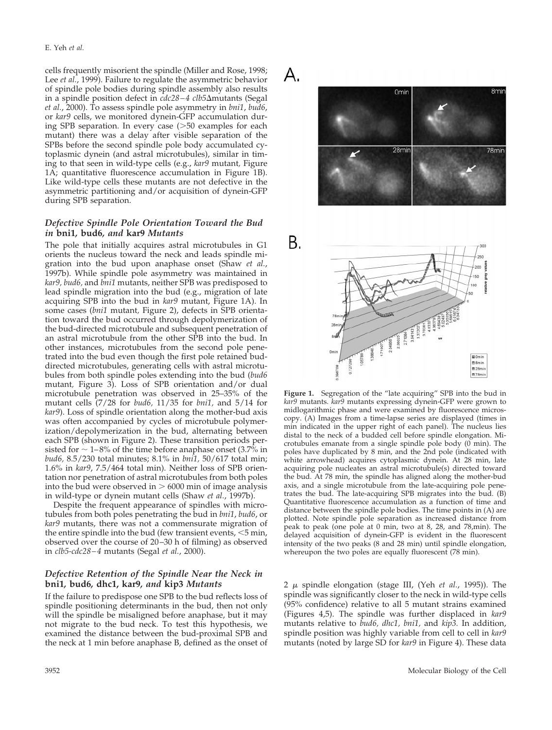cells frequently misorient the spindle (Miller and Rose, 1998; Lee *et al.*, 1999). Failure to regulate the asymmetric behavior of spindle pole bodies during spindle assembly also results in a spindle position defect in *cdc28–4 clb5*∆mutants (Segal *et al.*, 2000). To assess spindle pole asymmetry in *bni1*, *bud6*, or *kar9* cells, we monitored dynein-GFP accumulation during SPB separation. In every case  $($ >50 examples for each mutant) there was a delay after visible separation of the SPBs before the second spindle pole body accumulated cytoplasmic dynein (and astral microtubules), similar in timing to that seen in wild-type cells (e.g., *kar9* mutant*,* Figure 1A; quantitative fluorescence accumulation in Figure 1B). Like wild-type cells these mutants are not defective in the asymmetric partitioning and/or acquisition of dynein-GFP during SPB separation.

## *Defective Spindle Pole Orientation Toward the Bud in* **bni1***,* **bud6***, and* **kar9** *Mutants*

The pole that initially acquires astral microtubules in G1 orients the nucleus toward the neck and leads spindle migration into the bud upon anaphase onset (Shaw *et al.*, 1997b). While spindle pole asymmetry was maintained in *kar9, bud6,* and *bni1* mutants, neither SPB was predisposed to lead spindle migration into the bud (e.g., migration of late acquiring SPB into the bud in *kar9* mutant, Figure 1A). In some cases (*bni1* mutant*,* Figure 2), defects in SPB orientation toward the bud occurred through depolymerization of the bud-directed microtubule and subsequent penetration of an astral microtubule from the other SPB into the bud. In other instances, microtubules from the second pole penetrated into the bud even though the first pole retained buddirected microtubules, generating cells with astral microtubules from both spindle poles extending into the bud (*bud6* mutant*,* Figure 3). Loss of SPB orientation and/or dual microtubule penetration was observed in 25–35% of the mutant cells (7/28 for *bud6,* 11/35 for *bni1,* and 5/14 for *kar9*). Loss of spindle orientation along the mother-bud axis was often accompanied by cycles of microtubule polymerization/depolymerization in the bud, alternating between each SPB (shown in Figure 2). These transition periods persisted for  $\sim$  1–8% of the time before anaphase onset (3.7% in *bud6,* 8.5/230 total minutes; 8.1% in *bni1,* 50/617 total min; 1.6% in *kar9*, 7.5/464 total min). Neither loss of SPB orientation nor penetration of astral microtubules from both poles into the bud were observed in  $> 6000$  min of image analysis in wild-type or dynein mutant cells (Shaw *et al.*, 1997b).

Despite the frequent appearance of spindles with microtubules from both poles penetrating the bud in *bni1*, *bud6*, or *kar9* mutants, there was not a commensurate migration of the entire spindle into the bud (few transient events,  $<$ 5 min, observed over the course of 20–30 h of filming) as observed in *clb5-cdc28–4* mutants (Segal *et al.*, 2000).

### *Defective Retention of the Spindle Near the Neck in* **bni1***,* **bud6***,* **dhc1, kar9***, and* **kip3** *Mutants*

If the failure to predispose one SPB to the bud reflects loss of spindle positioning determinants in the bud, then not only will the spindle be misaligned before anaphase, but it may not migrate to the bud neck. To test this hypothesis, we examined the distance between the bud-proximal SPB and the neck at 1 min before anaphase B, defined as the onset of



**Figure 1.** Segregation of the "late acquiring" SPB into the bud in *kar9* mutants. *kar9* mutants expressing dynein-GFP were grown to midlogarithmic phase and were examined by fluorescence microscopy. (A) Images from a time-lapse series are displayed (times in min indicated in the upper right of each panel). The nucleus lies distal to the neck of a budded cell before spindle elongation. Microtubules emanate from a single spindle pole body (0 min). The poles have duplicated by 8 min, and the 2nd pole (indicated with white arrowhead) acquires cytoplasmic dynein. At 28 min, late acquiring pole nucleates an astral microtubule(s) directed toward the bud. At 78 min, the spindle has aligned along the mother-bud axis, and a single microtubule from the late-acquiring pole penetrates the bud. The late-acquiring SPB migrates into the bud. (B) Quantitative fluorescence accumulation as a function of time and distance between the spindle pole bodies. The time points in (A) are plotted. Note spindle pole separation as increased distance from peak to peak (one pole at 0 min, two at 8, 28, and 78,min). The delayed acquisition of dynein-GFP is evident in the fluorescent intensity of the two peaks (8 and 28 min) until spindle elongation, whereupon the two poles are equally fluorescent (78 min).

2  $\mu$  spindle elongation (stage III, (Yeh *et al.*, 1995)). The spindle was significantly closer to the neck in wild-type cells (95% confidence) relative to all 5 mutant strains examined (Figures 4,5). The spindle was further displaced in *kar9* mutants relative to *bud6, dhc1, bni1,* and *kip3.* In addition, spindle position was highly variable from cell to cell in *kar9* mutants (noted by large SD for *kar9* in Figure 4). These data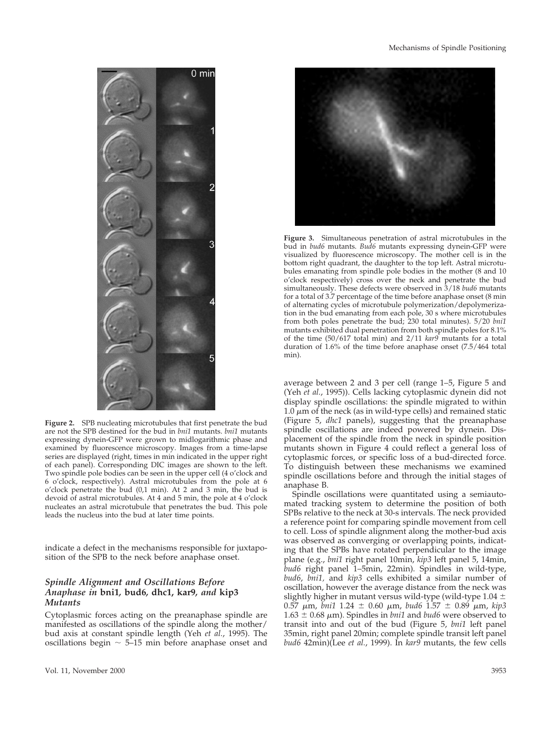

**Figure 2.** SPB nucleating microtubules that first penetrate the bud are not the SPB destined for the bud in *bni1* mutants. *bni1* mutants expressing dynein-GFP were grown to midlogarithmic phase and examined by fluorescence microscopy. Images from a time-lapse series are displayed (right, times in min indicated in the upper right of each panel). Corresponding DIC images are shown to the left. Two spindle pole bodies can be seen in the upper cell (4 o'clock and 6 o'clock, respectively). Astral microtubules from the pole at 6 o'clock penetrate the bud (0,1 min). At 2 and 3 min, the bud is devoid of astral microtubules. At 4 and 5 min, the pole at 4 o'clock nucleates an astral microtubule that penetrates the bud. This pole leads the nucleus into the bud at later time points.

indicate a defect in the mechanisms responsible for juxtaposition of the SPB to the neck before anaphase onset.

## *Spindle Alignment and Oscillations Before Anaphase in* **bni1***,* **bud6***,* **dhc1, kar9***, and* **kip3** *Mutants*

Cytoplasmic forces acting on the preanaphase spindle are manifested as oscillations of the spindle along the mother/ bud axis at constant spindle length (Yeh *et al.*, 1995). The oscillations begin  $\sim$  5–15 min before anaphase onset and



**Figure 3.** Simultaneous penetration of astral microtubules in the bud in *bud6* mutants. *Bud6* mutants expressing dynein-GFP were visualized by fluorescence microscopy. The mother cell is in the bottom right quadrant, the daughter to the top left. Astral microtubules emanating from spindle pole bodies in the mother (8 and 10 o'clock respectively) cross over the neck and penetrate the bud simultaneously. These defects were observed in 3/18 *bud6* mutants for a total of 3.7 percentage of the time before anaphase onset (8 min of alternating cycles of microtubule polymerization/depolymerization in the bud emanating from each pole, 30 s where microtubules from both poles penetrate the bud; 230 total minutes). 5/20 *bni1* mutants exhibited dual penetration from both spindle poles for 8.1% of the time (50/617 total min) and 2/11 *kar9* mutants for a total duration of 1.6% of the time before anaphase onset (7.5/464 total min).

average between 2 and 3 per cell (range 1–5, Figure 5 and (Yeh *et al.*, 1995)). Cells lacking cytoplasmic dynein did not display spindle oscillations: the spindle migrated to within  $1.0 \mu m$  of the neck (as in wild-type cells) and remained static (Figure 5, *dhc1* panels), suggesting that the preanaphase spindle oscillations are indeed powered by dynein. Displacement of the spindle from the neck in spindle position mutants shown in Figure 4 could reflect a general loss of cytoplasmic forces, or specific loss of a bud-directed force. To distinguish between these mechanisms we examined spindle oscillations before and through the initial stages of anaphase B.

Spindle oscillations were quantitated using a semiautomated tracking system to determine the position of both SPBs relative to the neck at 30-s intervals. The neck provided a reference point for comparing spindle movement from cell to cell. Loss of spindle alignment along the mother-bud axis was observed as converging or overlapping points, indicating that the SPBs have rotated perpendicular to the image plane (e.g., *bni1* right panel 10min, *kip3* left panel 5, 14min, *bud6* right panel 1–5min, 22min). Spindles in wild-type, *bud6*, *bni1,* and *kip3* cells exhibited a similar number of oscillation, however the average distance from the neck was slightly higher in mutant versus wild-type (wild-type  $1.04 \pm 0.04$  $0.57 \mu m$ , *bni*1 1.24  $\pm$  0.60  $\mu m$ , *bud6* 1.57  $\pm$  0.89  $\mu m$ , *kip3*  $1.63 \pm 0.68 \mu m$ ). Spindles in *bni1* and *bud6* were observed to transit into and out of the bud (Figure 5, *bni1* left panel 35min, right panel 20min; complete spindle transit left panel *bud6* 42min)(Lee *et al.*, 1999). In *kar9* mutants, the few cells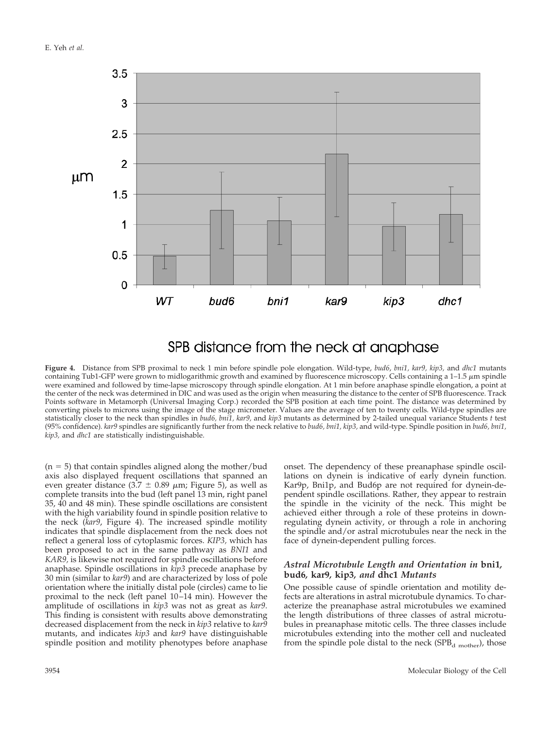

# SPB distance from the neck at anaphase

**Figure 4.** Distance from SPB proximal to neck 1 min before spindle pole elongation. Wild-type, *bud6*, *bni1, kar9, kip3,* and *dhc1* mutants containing Tub1-GFP were grown to midlogarithmic growth and examined by fluorescence microscopy. Cells containing a  $1-1.5 \mu m$  spindle were examined and followed by time-lapse microscopy through spindle elongation. At 1 min before anaphase spindle elongation, a point at the center of the neck was determined in DIC and was used as the origin when measuring the distance to the center of SPB fluorescence. Track Points software in Metamorph (Universal Imaging Corp.) recorded the SPB position at each time point. The distance was determined by converting pixels to microns using the image of the stage micrometer. Values are the average of ten to twenty cells. Wild-type spindles are statistically closer to the neck than spindles in *bud6, bni1, kar9,* and *kip3* mutants as determined by 2-tailed unequal variance Students *t* test (95% confidence)*. kar9* spindles are significantly further from the neck relative to *bud6, bni1, kip3,* and wild-type. Spindle position in *bud6, bni1, kip3,* and *dhc1* are statistically indistinguishable.

 $(n = 5)$  that contain spindles aligned along the mother/bud axis also displayed frequent oscillations that spanned an even greater distance (3.7  $\pm$  0.89  $\mu$ m; Figure 5), as well as complete transits into the bud (left panel 13 min, right panel 35, 40 and 48 min). These spindle oscillations are consistent with the high variability found in spindle position relative to the neck (*kar9*, Figure 4). The increased spindle motility indicates that spindle displacement from the neck does not reflect a general loss of cytoplasmic forces. *KIP3,* which has been proposed to act in the same pathway as *BNI1* and *KAR9,* is likewise not required for spindle oscillations before anaphase. Spindle oscillations in *kip3* precede anaphase by 30 min (similar to *kar9*) and are characterized by loss of pole orientation where the initially distal pole (circles) came to lie proximal to the neck (left panel 10–14 min). However the amplitude of oscillations in *kip3* was not as great as *kar9*. This finding is consistent with results above demonstrating decreased displacement from the neck in *kip3* relative to *kar9* mutants, and indicates *kip3* and *kar9* have distinguishable spindle position and motility phenotypes before anaphase onset. The dependency of these preanaphase spindle oscillations on dynein is indicative of early dynein function. Kar9p, Bni1p, and Bud6p are not required for dynein-dependent spindle oscillations. Rather, they appear to restrain the spindle in the vicinity of the neck. This might be achieved either through a role of these proteins in downregulating dynein activity, or through a role in anchoring the spindle and/or astral microtubules near the neck in the face of dynein-dependent pulling forces.

#### *Astral Microtubule Length and Orientation in* **bni1***,* **bud6***,* **kar9***,* **kip3***, and* **dhc1** *Mutants*

One possible cause of spindle orientation and motility defects are alterations in astral microtubule dynamics. To characterize the preanaphase astral microtubules we examined the length distributions of three classes of astral microtubules in preanaphase mitotic cells. The three classes include microtubules extending into the mother cell and nucleated from the spindle pole distal to the neck  $(SPB_{d \text{ mother}})$ , those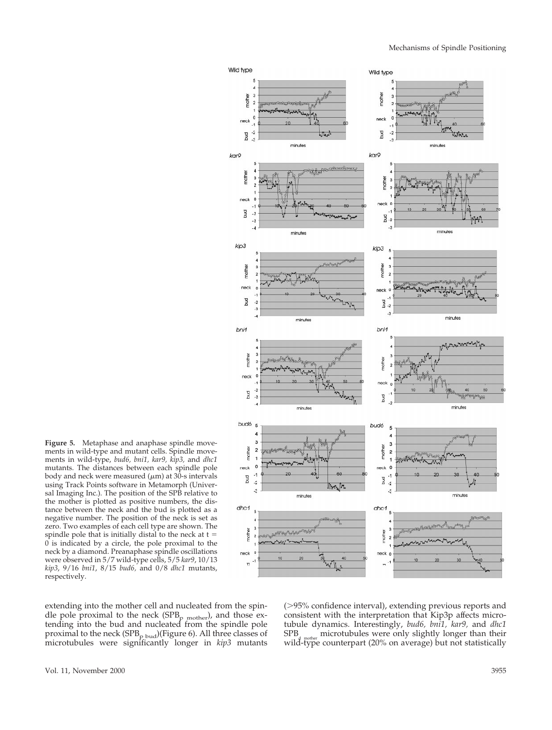

**Figure 5.** Metaphase and anaphase spindle movements in wild-type and mutant cells. Spindle movements in wild-type, *bud6, bni1, kar9, kip3,* and *dhc1* mutants. The distances between each spindle pole body and neck were measured ( $\mu$ m) at 30-s intervals using Track Points software in Metamorph (Universal Imaging Inc.). The position of the SPB relative to the mother is plotted as positive numbers, the distance between the neck and the bud is plotted as a negative number. The position of the neck is set as zero. Two examples of each cell type are shown. The spindle pole that is initially distal to the neck at  $t =$ 0 is indicated by a circle, the pole proximal to the neck by a diamond. Preanaphase spindle oscillations were observed in 5/7 wild-type cells, 5/5 *kar9*, 10/13 *kip3*, 9/16 *bni1*, 8/15 *bud6,* and 0/8 *dhc1* mutants, respectively.

extending into the mother cell and nucleated from the spindle pole proximal to the neck (SPB<sub>p mother</sub>), and those extending into the bud and nucleated from the spindle pole proximal to the neck ( $SPB<sub>p bud</sub>$ )(Figure 6). All three classes of microtubules were significantly longer in *kip3* mutants ( $>95\%$  confidence interval), extending previous reports and consistent with the interpretation that Kip3p affects microtubule dynamics. Interestingly, *bud6, bni1, kar9,* and *dhc1*  $\frac{1}{2}$  microtubules were only slightly longer than their wild-type counterpart (20% on average) but not statistically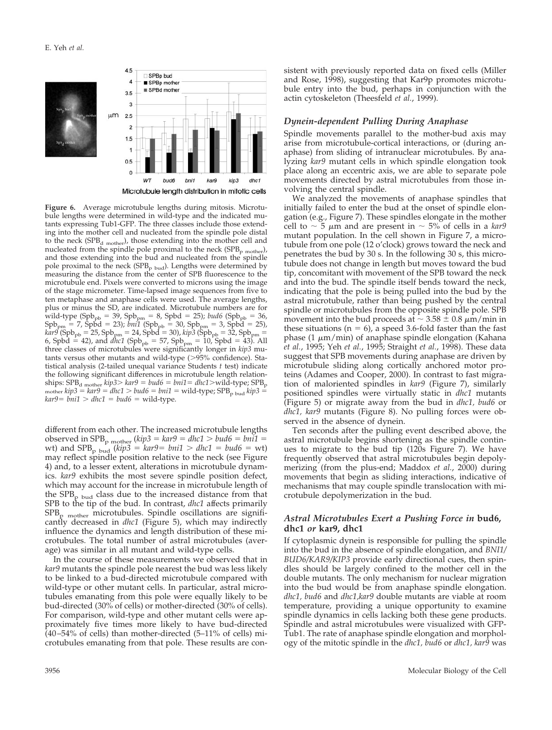

**Figure 6.** Average microtubule lengths during mitosis. Microtubule lengths were determined in wild-type and the indicated mutants expressing Tub1-GFP. The three classes include those extending into the mother cell and nucleated from the spindle pole distal to the neck (SPB<sub>d mother</sub>), those extending into the mother cell and nucleated from the spindle pole proximal to the neck  $(SPB<sub>p</sub>_{\text{mother}})$ , and those extending into the bud and nucleated from the spindle pole proximal to the neck  $(SPB<sub>p</sub>$  bud). Lengths were determined by measuring the distance from the center of SPB fluorescence to the microtubule end. Pixels were converted to microns using the image of the stage micrometer. Time-lapsed image sequences from five to ten metaphase and anaphase cells were used. The average lengths, plus or minus the SD, are indicated. Microtubule numbers are for wild-type (Spb<sub>pb</sub> = 39, Spb<sub>pm</sub> = 8, Spbd = 25); *bud6* (Spb<sub>pb</sub> = 36,  $Spb_{pm} = 7$ , Spbd = 23); *bni1* (Spb<sub>pb</sub> = 30, Spb<sub>pm</sub> = 3, Spbd = 25), *kar9* (Spb<sub>pb</sub> = 25, Spb<sub>pm</sub> = 24, Spbd = 30), *kip3* (Spb<sub>pb</sub> = 32, Spb<sub>pm</sub> = 6, Spbd = 42), and *dhc1* (Spb<sub>pb</sub> = 57, Spb<sub>pm</sub> = 10, Spbd = 43). All three classes of microtubules were significantly longer in *kip3* mutants versus other mutants and wild-type  $(>\!\!95\!\!%$  confidence). Statistical analysis (2-tailed unequal variance Students *t* test) indicate the following significant differences in microtubule length relationships:  $SPB<sub>d</sub>$ <sub>mother</sub>  $kip3>kar9 = bud6 = bni1 = dhc1 > wild-type; SPB<sub>p</sub>$ mother  $kip3 = kar9 = dhc1 > bud6 = bni1 = wild-type; SPB<sub>p bud</sub> kip3 =$  $kar9 = bni1 > dhc1 = bud6 = wild-type.$ 

different from each other. The increased microtubule lengths observed in SPB<sub>p</sub> mother ( $kip3 = kar9 = dhc1 > bud6 = bni1$ ) wt) and  $SPB<sub>p</sub>_{bud}$  ( $kip3 = kar9 = bni1 > dhc1 = bud6 = wt$ ) may reflect spindle position relative to the neck (see Figure 4) and, to a lesser extent, alterations in microtubule dynamics. *kar9* exhibits the most severe spindle position defect, which may account for the increase in microtubule length of the  $SPB<sub>p</sub>$  bud class due to the increased distance from that SPB to the tip of the bud. In contrast, *dhc1* affects primarily  $SPB<sub>p</sub>$  mother microtubules. Spindle oscillations are significantly decreased in *dhc1* (Figure 5), which may indirectly influence the dynamics and length distribution of these microtubules. The total number of astral microtubules (average) was similar in all mutant and wild-type cells.

In the course of these measurements we observed that in *kar9* mutants the spindle pole nearest the bud was less likely to be linked to a bud-directed microtubule compared with wild-type or other mutant cells. In particular, astral microtubules emanating from this pole were equally likely to be bud-directed (30% of cells) or mother-directed (30% of cells). For comparison, wild-type and other mutant cells were approximately five times more likely to have bud-directed  $(40-54\% \text{ of cells})$  than mother-directed  $(5-11\% \text{ of cells})$  microtubules emanating from that pole. These results are consistent with previously reported data on fixed cells (Miller and Rose, 1998), suggesting that Kar9p promotes microtubule entry into the bud, perhaps in conjunction with the actin cytoskeleton (Theesfeld *et al.*, 1999).

# *Dynein-dependent Pulling During Anaphase*

Spindle movements parallel to the mother-bud axis may arise from microtubule-cortical interactions, or (during anaphase) from sliding of intranuclear microtubules. By analyzing *kar9* mutant cells in which spindle elongation took place along an eccentric axis, we are able to separate pole movements directed by astral microtubules from those involving the central spindle.

We analyzed the movements of anaphase spindles that initially failed to enter the bud at the onset of spindle elongation (e.g., Figure 7). These spindles elongate in the mother cell to  $\sim$  5  $\mu$ m and are present in  $\sim$  5% of cells in a *kar9* mutant population. In the cell shown in Figure 7, a microtubule from one pole (12 o'clock) grows toward the neck and penetrates the bud by 30 s. In the following 30 s, this microtubule does not change in length but moves toward the bud tip, concomitant with movement of the SPB toward the neck and into the bud. The spindle itself bends toward the neck, indicating that the pole is being pulled into the bud by the astral microtubule, rather than being pushed by the central spindle or microtubules from the opposite spindle pole. SPB movement into the bud proceeds at  $\sim 3.58 \pm 0.8 \ \mu m/min$  in these situations ( $n = 6$ ), a speed 3.6-fold faster than the fast phase (1  $\mu$ m/min) of anaphase spindle elongation (Kahana *et al.*, 1995; Yeh *et al.*, 1995; Straight *et al.*, 1998). These data suggest that SPB movements during anaphase are driven by microtubule sliding along cortically anchored motor proteins (Adames and Cooper, 2000). In contrast to fast migration of maloriented spindles in *kar9* (Figure 7), similarly positioned spindles were virtually static in *dhc1* mutants (Figure 5) or migrate away from the bud in *dhc1, bud6* or *dhc1, kar9* mutants (Figure 8). No pulling forces were observed in the absence of dynein.

Ten seconds after the pulling event described above, the astral microtubule begins shortening as the spindle continues to migrate to the bud tip (120s Figure 7). We have frequently observed that astral microtubules begin depolymerizing (from the plus-end; Maddox *et al.*, 2000) during movements that begin as sliding interactions, indicative of mechanisms that may couple spindle translocation with microtubule depolymerization in the bud.

### *Astral Microtubules Exert a Pushing Force in* **bud6, dhc1** *or* **kar9, dhc1**

If cytoplasmic dynein is responsible for pulling the spindle into the bud in the absence of spindle elongation, and *BNI1/ BUD6/KAR9/KIP3* provide early directional cues, then spindles should be largely confined to the mother cell in the double mutants. The only mechanism for nuclear migration into the bud would be from anaphase spindle elongation. *dhc1, bud6* and *dhc1,kar9* double mutants are viable at room temperature, providing a unique opportunity to examine spindle dynamics in cells lacking both these gene products. Spindle and astral microtubules were visualized with GFP-Tub1. The rate of anaphase spindle elongation and morphology of the mitotic spindle in the *dhc1, bud6* or *dhc1, kar9* was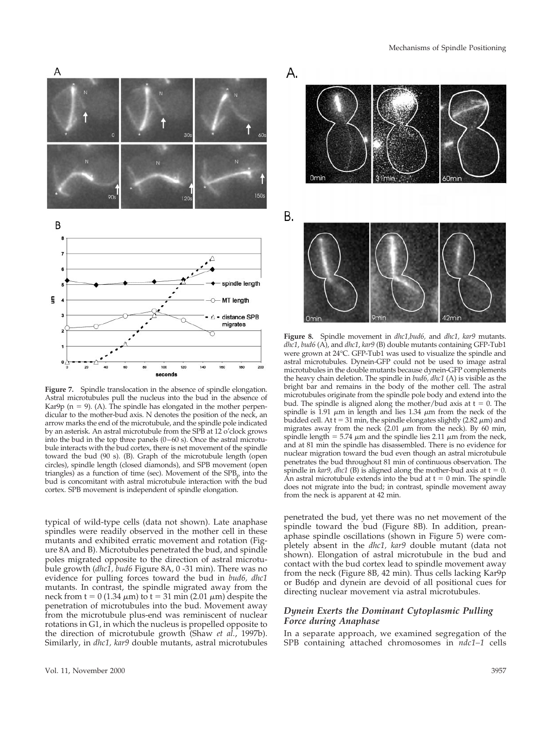

**Figure 7.** Spindle translocation in the absence of spindle elongation. Astral microtubules pull the nucleus into the bud in the absence of Kar9p ( $n = 9$ ). (A). The spindle has elongated in the mother perpendicular to the mother-bud axis. N denotes the position of the neck, an arrow marks the end of the microtubule, and the spindle pole indicated by an asterisk. An astral microtubule from the SPB at 12 o'clock grows into the bud in the top three panels (0–60 s). Once the astral microtubule interacts with the bud cortex, there is net movement of the spindle toward the bud (90 s). (B). Graph of the microtubule length (open circles), spindle length (closed diamonds), and SPB movement (open triangles) as a function of time (sec). Movement of the  $SPB<sub>p</sub>$  into the bud is concomitant with astral microtubule interaction with the bud cortex. SPB movement is independent of spindle elongation.

typical of wild-type cells (data not shown). Late anaphase spindles were readily observed in the mother cell in these mutants and exhibited erratic movement and rotation (Figure 8A and B). Microtubules penetrated the bud, and spindle poles migrated opposite to the direction of astral microtubule growth (*dhc1, bud6* Figure 8A, 0 -31 min). There was no evidence for pulling forces toward the bud in *bud6, dhc1* mutants. In contrast, the spindle migrated away from the neck from  $t = 0$  (1.34  $\mu$ m) to  $t = 31$  min (2.01  $\mu$ m) despite the penetration of microtubules into the bud. Movement away from the microtubule plus-end was reminiscent of nuclear rotations in G1, in which the nucleus is propelled opposite to the direction of microtubule growth (Shaw *et al.*, 1997b). Similarly, in *dhc1, kar9* double mutants, astral microtubules



**Figure 8.** Spindle movement in *dhc1,bud6,* and *dhc1, kar9* mutants. *dhc1*, *bud6* (A), and *dhc1*, *kar9* (B) double mutants containing GFP-Tub1 were grown at 24°C. GFP-Tub1 was used to visualize the spindle and astral microtubules. Dynein-GFP could not be used to image astral microtubules in the double mutants because dynein-GFP complements the heavy chain deletion. The spindle in *bud6, dhc1* (A) is visible as the bright bar and remains in the body of the mother cell. The astral microtubules originate from the spindle pole body and extend into the bud. The spindle is aligned along the mother/bud axis at  $t = 0$ . The spindle is 1.91  $\mu$ m in length and lies 1.34  $\mu$ m from the neck of the budded cell. At  $t = 31$  min, the spindle elongates slightly (2.82  $\mu$ m) and migrates away from the neck  $(2.01 \mu m)$  from the neck). By 60 min, spindle length = 5.74  $\mu$ m and the spindle lies 2.11  $\mu$ m from the neck, and at 81 min the spindle has disassembled. There is no evidence for nuclear migration toward the bud even though an astral microtubule penetrates the bud throughout 81 min of continuous observation. The spindle in  $kar9$ , *dhc1* (B) is aligned along the mother-bud axis at  $t = 0$ . An astral microtubule extends into the bud at  $t = 0$  min. The spindle does not migrate into the bud; in contrast, spindle movement away from the neck is apparent at 42 min.

penetrated the bud, yet there was no net movement of the spindle toward the bud (Figure 8B). In addition, preanaphase spindle oscillations (shown in Figure 5) were completely absent in the *dhc1, kar9* double mutant (data not shown). Elongation of astral microtubule in the bud and contact with the bud cortex lead to spindle movement away from the neck (Figure 8B, 42 min). Thus cells lacking Kar9p or Bud6p and dynein are devoid of all positional cues for directing nuclear movement via astral microtubules.

# *Dynein Exerts the Dominant Cytoplasmic Pulling Force during Anaphase*

In a separate approach, we examined segregation of the SPB containing attached chromosomes in *ndc1–1* cells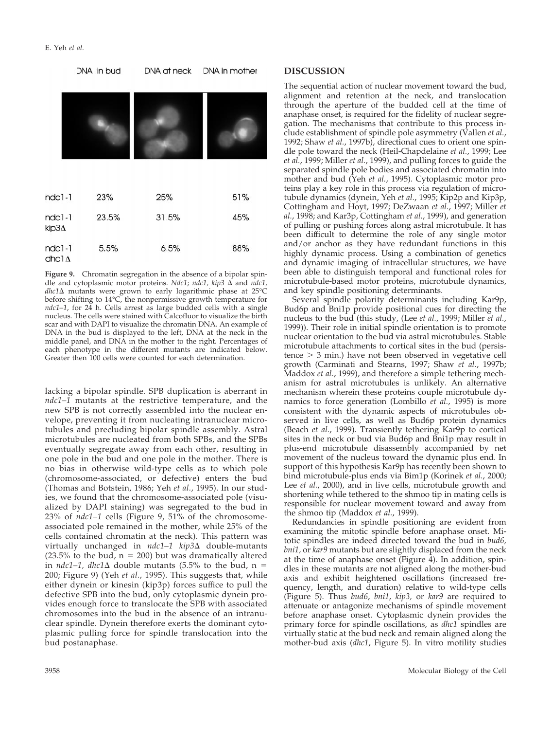

**Figure 9.** Chromatin segregation in the absence of a bipolar spindle and cytoplasmic motor proteins. *Ndc1*; *ndc1*, *kip3*  $\Delta$  and *ndc1*, *dhc1*D mutants were grown to early logarithmic phase at 25°C before shifting to 14°C, the nonpermissive growth temperature for *ndc1–1*, for 24 h. Cells arrest as large budded cells with a single nucleus. The cells were stained with Calcofluor to visualize the birth scar and with DAPI to visualize the chromatin DNA. An example of DNA in the bud is displayed to the left, DNA at the neck in the middle panel, and DNA in the mother to the right. Percentages of each phenotype in the different mutants are indicated below. Greater then 100 cells were counted for each determination.

lacking a bipolar spindle. SPB duplication is aberrant in *ndc1–1* mutants at the restrictive temperature, and the new SPB is not correctly assembled into the nuclear envelope, preventing it from nucleating intranuclear microtubules and precluding bipolar spindle assembly. Astral microtubules are nucleated from both SPBs, and the SPBs eventually segregate away from each other, resulting in one pole in the bud and one pole in the mother. There is no bias in otherwise wild-type cells as to which pole (chromosome-associated, or defective) enters the bud (Thomas and Botstein, 1986; Yeh *et al.*, 1995). In our studies, we found that the chromosome-associated pole (visualized by DAPI staining) was segregated to the bud in 23% of *ndc1–1* cells (Figure 9, 51% of the chromosomeassociated pole remained in the mother, while 25% of the cells contained chromatin at the neck). This pattern was virtually unchanged in *ndc1–1 kip3*∆ double-mutants (23.5% to the bud,  $n = 200$ ) but was dramatically altered in *ndc1–1, dhc1* $\Delta$  double mutants (5.5% to the bud, n = 200; Figure 9) (Yeh *et al.*, 1995). This suggests that, while either dynein or kinesin (kip3p) forces suffice to pull the defective SPB into the bud, only cytoplasmic dynein provides enough force to translocate the SPB with associated chromosomes into the bud in the absence of an intranuclear spindle. Dynein therefore exerts the dominant cytoplasmic pulling force for spindle translocation into the bud postanaphase.

#### **DISCUSSION**

The sequential action of nuclear movement toward the bud, alignment and retention at the neck, and translocation through the aperture of the budded cell at the time of anaphase onset, is required for the fidelity of nuclear segregation. The mechanisms that contribute to this process include establishment of spindle pole asymmetry (Vallen *et al.*, 1992; Shaw *et al.*, 1997b), directional cues to orient one spindle pole toward the neck (Heil-Chapdelaine *et al.*, 1999; Lee *et al.*, 1999; Miller *et al.*, 1999), and pulling forces to guide the separated spindle pole bodies and associated chromatin into mother and bud (Yeh *et al.*, 1995). Cytoplasmic motor proteins play a key role in this process via regulation of microtubule dynamics (dynein, Yeh *et al.*, 1995; Kip2p and Kip3p, Cottingham and Hoyt, 1997; DeZwaan *et al.*, 1997; Miller *et al.*, 1998; and Kar3p, Cottingham *et al.*, 1999), and generation of pulling or pushing forces along astral microtubule. It has been difficult to determine the role of any single motor and/or anchor as they have redundant functions in this highly dynamic process. Using a combination of genetics and dynamic imaging of intracellular structures, we have been able to distinguish temporal and functional roles for microtubule-based motor proteins, microtubule dynamics, and key spindle positioning determinants.

Several spindle polarity determinants including Kar9p, Bud6p and Bni1p provide positional cues for directing the nucleus to the bud (this study, (Lee *et al.*, 1999; Miller *et al.*, 1999)). Their role in initial spindle orientation is to promote nuclear orientation to the bud via astral microtubules. Stable microtubule attachments to cortical sites in the bud (persis $tence$   $>$  3 min.) have not been observed in vegetative cell growth (Carminati and Stearns, 1997; Shaw *et al.*, 1997b; Maddox *et al.*, 1999), and therefore a simple tethering mechanism for astral microtubules is unlikely. An alternative mechanism wherein these proteins couple microtubule dynamics to force generation (Lombillo *et al.*, 1995) is more consistent with the dynamic aspects of microtubules observed in live cells, as well as Bud6p protein dynamics (Beach *et al.*, 1999). Transiently tethering Kar9p to cortical sites in the neck or bud via Bud6p and Bni1p may result in plus-end microtubule disassembly accompanied by net movement of the nucleus toward the dynamic plus end. In support of this hypothesis Kar9p has recently been shown to bind microtubule-plus ends via Bim1p (Korinek *et al.*, 2000; Lee *et al.*, 2000), and in live cells, microtubule growth and shortening while tethered to the shmoo tip in mating cells is responsible for nuclear movement toward and away from the shmoo tip (Maddox *et al.*, 1999).

Redundancies in spindle positioning are evident from examining the mitotic spindle before anaphase onset. Mitotic spindles are indeed directed toward the bud in *bud6, bni1,* or *kar9* mutants but are slightly displaced from the neck at the time of anaphase onset (Figure 4). In addition, spindles in these mutants are not aligned along the mother-bud axis and exhibit heightened oscillations (increased frequency, length, and duration) relative to wild-type cells (Figure 5). Thus *bud6*, *bni1*, *kip3,* or *kar9* are required to attenuate or antagonize mechanisms of spindle movement before anaphase onset. Cytoplasmic dynein provides the primary force for spindle oscillations, as *dhc1* spindles are virtually static at the bud neck and remain aligned along the mother-bud axis (*dhc1*, Figure 5). In vitro motility studies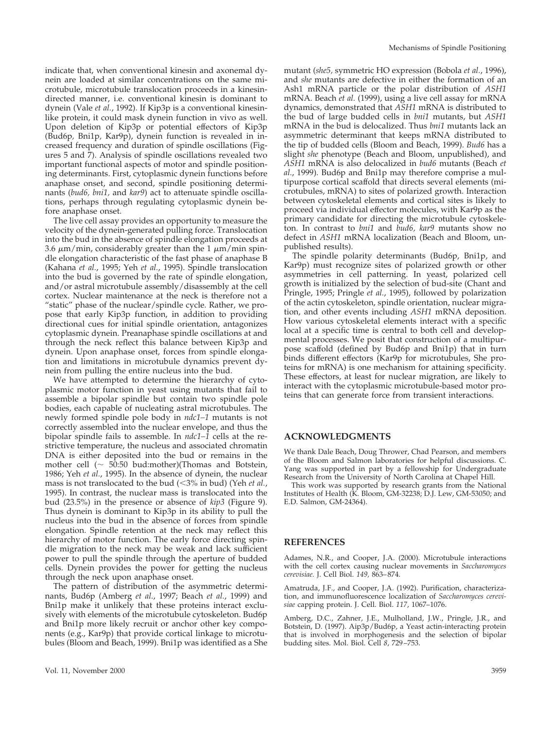indicate that, when conventional kinesin and axonemal dynein are loaded at similar concentrations on the same microtubule, microtubule translocation proceeds in a kinesindirected manner, i.e. conventional kinesin is dominant to dynein (Vale *et al.*, 1992). If Kip3p is a conventional kinesinlike protein, it could mask dynein function in vivo as well. Upon deletion of Kip3p or potential effectors of Kip3p (Bud6p*,* Bni1p*,* Kar9p), dynein function is revealed in increased frequency and duration of spindle oscillations (Figures 5 and 7). Analysis of spindle oscillations revealed two important functional aspects of motor and spindle positioning determinants. First, cytoplasmic dynein functions before anaphase onset, and second, spindle positioning determinants (*bud6, bni1,* and *kar9*) act to attenuate spindle oscillations, perhaps through regulating cytoplasmic dynein before anaphase onset.

The live cell assay provides an opportunity to measure the velocity of the dynein-generated pulling force. Translocation into the bud in the absence of spindle elongation proceeds at 3.6  $\mu$ m/min, considerably greater than the 1  $\mu$ m/min spindle elongation characteristic of the fast phase of anaphase B (Kahana *et al.*, 1995; Yeh *et al.*, 1995). Spindle translocation into the bud is governed by the rate of spindle elongation, and/or astral microtubule assembly/disassembly at the cell cortex. Nuclear maintenance at the neck is therefore not a "static" phase of the nuclear/spindle cycle. Rather, we propose that early Kip3p function, in addition to providing directional cues for initial spindle orientation, antagonizes cytoplasmic dynein. Preanaphase spindle oscillations at and through the neck reflect this balance between Kip3p and dynein. Upon anaphase onset, forces from spindle elongation and limitations in microtubule dynamics prevent dynein from pulling the entire nucleus into the bud.

We have attempted to determine the hierarchy of cytoplasmic motor function in yeast using mutants that fail to assemble a bipolar spindle but contain two spindle pole bodies, each capable of nucleating astral microtubules. The newly formed spindle pole body in *ndc1–1* mutants is not correctly assembled into the nuclear envelope, and thus the bipolar spindle fails to assemble. In *ndc1–1* cells at the restrictive temperature, the nucleus and associated chromatin DNA is either deposited into the bud or remains in the mother cell ( $\sim$  50:50 bud:mother)(Thomas and Botstein, 1986; Yeh *et al.*, 1995). In the absence of dynein, the nuclear mass is not translocated to the bud  $( $3\%$  in bud) (Yeh *et al.*,$ 1995). In contrast, the nuclear mass is translocated into the bud (23.5%) in the presence or absence of *kip3* (Figure 9). Thus dynein is dominant to Kip3p in its ability to pull the nucleus into the bud in the absence of forces from spindle elongation. Spindle retention at the neck may reflect this hierarchy of motor function. The early force directing spindle migration to the neck may be weak and lack sufficient power to pull the spindle through the aperture of budded cells. Dynein provides the power for getting the nucleus through the neck upon anaphase onset.

The pattern of distribution of the asymmetric determinants, Bud6p (Amberg *et al.*, 1997; Beach *et al.*, 1999) and Bni1p make it unlikely that these proteins interact exclusively with elements of the microtubule cytoskeleton. Bud6p and Bni1p more likely recruit or anchor other key components (e.g., Kar9p) that provide cortical linkage to microtubules (Bloom and Beach, 1999). Bni1p was identified as a She

mutant (*she5,* symmetric HO expression (Bobola *et al.*, 1996), and *she* mutants are defective in either the formation of an Ash1 mRNA particle or the polar distribution of *ASH1* mRNA. Beach *et al.* (1999), using a live cell assay for mRNA dynamics, demonstrated that *ASH1* mRNA is distributed to the bud of large budded cells in *bni1* mutants, but *ASH1* mRNA in the bud is delocalized. Thus *bni1* mutants lack an asymmetric determinant that keeps mRNA distributed to the tip of budded cells (Bloom and Beach, 1999). *Bud6* has a slight *she* phenotype (Beach and Bloom, unpublished), and *ASH1* mRNA is also delocalized in *bud6* mutants (Beach *et al.*, 1999). Bud6p and Bni1p may therefore comprise a multipurpose cortical scaffold that directs several elements (microtubules, mRNA) to sites of polarized growth. Interaction between cytoskeletal elements and cortical sites is likely to proceed via individual effector molecules, with Kar9p as the primary candidate for directing the microtubule cytoskeleton. In contrast to *bni1* and *bud6, kar9* mutants show no defect in *ASH1* mRNA localization (Beach and Bloom, unpublished results).

The spindle polarity determinants (Bud6p, Bni1p, and Kar9p) must recognize sites of polarized growth or other asymmetries in cell patterning. In yeast, polarized cell growth is initialized by the selection of bud-site (Chant and Pringle, 1995; Pringle *et al.*, 1995), followed by polarization of the actin cytoskeleton, spindle orientation, nuclear migration, and other events including *ASH1* mRNA deposition. How various cytoskeletal elements interact with a specific local at a specific time is central to both cell and developmental processes. We posit that construction of a multipurpose scaffold (defined by Bud6p and Bni1p) that in turn binds different effectors (Kar9p for microtubules, She proteins for mRNA) is one mechanism for attaining specificity. These effectors, at least for nuclear migration, are likely to interact with the cytoplasmic microtubule-based motor proteins that can generate force from transient interactions.

#### **ACKNOWLEDGMENTS**

We thank Dale Beach, Doug Thrower, Chad Pearson, and members of the Bloom and Salmon laboratories for helpful discussions. C. Yang was supported in part by a fellowship for Undergraduate Research from the University of North Carolina at Chapel Hill.

This work was supported by research grants from the National Institutes of Health (K. Bloom, GM-32238; D.J. Lew, GM-53050; and E.D. Salmon, GM-24364).

#### **REFERENCES**

Adames, N.R., and Cooper, J.A. (2000). Microtubule interactions with the cell cortex causing nuclear movements in *Saccharomyces cerevisiae.* J. Cell Biol. *149,* 863–874.

Amatruda, J.F., and Cooper, J.A. (1992). Purification, characterization, and immunofluorescence localization of *Saccharomyces cerevisiae* capping protein. J. Cell. Biol. *117*, 1067–1076.

Amberg, D.C., Zahner, J.E., Mulholland, J.W., Pringle, J.R., and Botstein, D. (1997). Aip3p/Bud6p, a Yeast actin-interacting protein that is involved in morphogenesis and the selection of bipolar budding sites. Mol. Biol. Cell *8*, 729–753.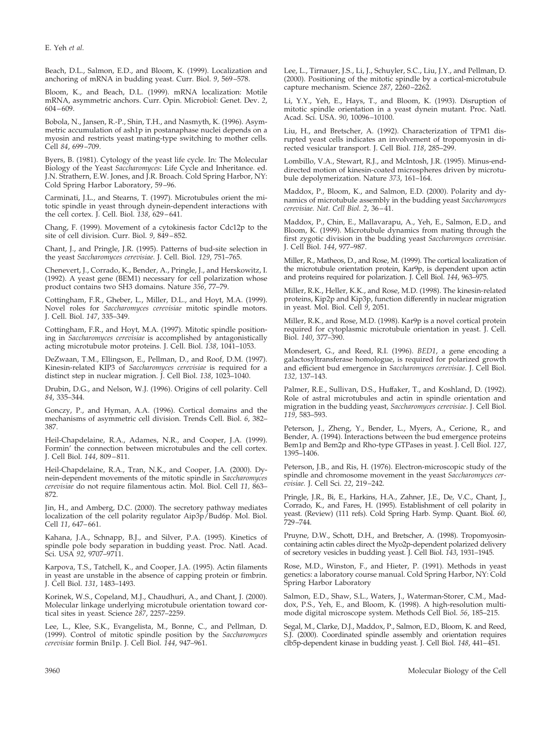Beach, D.L., Salmon, E.D., and Bloom, K. (1999). Localization and anchoring of mRNA in budding yeast. Curr. Biol. *9*, 569–578.

Bloom, K., and Beach, D.L. (1999). mRNA localization: Motile mRNA, asymmetric anchors. Curr. Opin. Microbiol: Genet. Dev. *2*, 604–609.

Bobola, N., Jansen, R.-P., Shin, T.H., and Nasmyth, K. (1996). Asymmetric accumulation of ash1p in postanaphase nuclei depends on a myosin and restricts yeast mating-type switching to mother cells. Cell *84*, 699–709.

Byers, B. (1981). Cytology of the yeast life cycle. In: The Molecular Biology of the Yeast *Saccharomyces*: Life Cycle and Inheritance. ed. J.N. Strathern, E.W. Jones, and J.R. Broach. Cold Spring Harbor, NY: Cold Spring Harbor Laboratory, 59–96.

Carminati, J.L., and Stearns, T. (1997). Microtubules orient the mitotic spindle in yeast through dynein-dependent interactions with the cell cortex. J. Cell. Biol. *138*, 629–641.

Chang, F. (1999). Movement of a cytokinesis factor Cdc12p to the site of cell division. Curr. Biol. *9*, 849–852.

Chant, J., and Pringle, J.R. (1995). Patterns of bud-site selection in the yeast *Saccharomyces cerevisiae*. J. Cell. Biol. *129*, 751–765.

Chenevert, J., Corrado, K., Bender, A., Pringle, J., and Herskowitz, I. (1992). A yeast gene (BEM1) necessary for cell polarization whose product contains two SH3 domains. Nature *356*, 77–79.

Cottingham, F.R., Gheber, L., Miller, D.L., and Hoyt, M.A. (1999). Novel roles for *Saccharomyces cerevisiae* mitotic spindle motors. J. Cell. Biol. *147*, 335–349.

Cottingham, F.R., and Hoyt, M.A. (1997). Mitotic spindle positioning in *Saccharomyces cerevisiae* is accomplished by antagonistically acting microtubule motor proteins. J. Cell. Biol. *138*, 1041–1053.

DeZwaan, T.M., Ellingson, E., Pellman, D., and Roof, D.M. (1997). Kinesin-related KIP3 of *Saccharomyces cerevisiae* is required for a distinct step in nuclear migration. J. Cell Biol. *138*, 1023–1040.

Drubin, D.G., and Nelson, W.J. (1996). Origins of cell polarity. Cell *84*, 335–344.

Gonczy, P., and Hyman, A.A. (1996). Cortical domains and the mechanisms of asymmetric cell division. Trends Cell. Biol. *6*, 382– 387.

Heil-Chapdelaine, R.A., Adames, N.R., and Cooper, J.A. (1999). Formin' the connection between microtubules and the cell cortex. J. Cell Biol. *144*, 809–811.

Heil-Chapdelaine, R.A., Tran, N.K., and Cooper, J.A. (2000). Dynein-dependent movements of the mitotic spindle in *Saccharomyces cerevisiae* do not require filamentous actin. Mol. Biol. Cell *11,* 863– 872.

Jin, H., and Amberg, D.C. (2000). The secretory pathway mediates localization of the cell polarity regulator Aip3p/Bud6p. Mol. Biol. Cell *11*, 647–661.

Kahana, J.A., Schnapp, B.J., and Silver, P.A. (1995). Kinetics of spindle pole body separation in budding yeast. Proc. Natl. Acad. Sci. USA *92*, 9707–9711.

Karpova, T.S., Tatchell, K., and Cooper, J.A. (1995). Actin filaments in yeast are unstable in the absence of capping protein or fimbrin. J. Cell Biol. *131*, 1483–1493.

Korinek, W.S., Copeland, M.J., Chaudhuri, A., and Chant, J. (2000). Molecular linkage underlying microtubule orientation toward cortical sites in yeast. Science *287*, 2257–2259.

Lee, L., Klee, S.K., Evangelista, M., Bonne, C., and Pellman, D. (1999). Control of mitotic spindle position by the *Saccharomyces cerevisiae* formin Bni1p. J. Cell Biol. *144*, 947–961.

Lee, L., Tirnauer, J.S., Li, J., Schuyler, S.C., Liu, J.Y., and Pellman, D. (2000). Positioning of the mitotic spindle by a cortical-microtubule capture mechanism. Science *287*, 2260–2262.

Li, Y.Y., Yeh, E., Hays, T., and Bloom, K. (1993). Disruption of mitotic spindle orientation in a yeast dynein mutant. Proc. Natl. Acad. Sci. USA. *90*, 10096–10100.

Liu, H., and Bretscher, A. (1992). Characterization of TPM1 disrupted yeast cells indicates an involvement of tropomyosin in directed vesicular transport. J. Cell Biol. *118*, 285–299.

Lombillo, V.A., Stewart, R.J., and McIntosh, J.R. (1995). Minus-enddirected motion of kinesin-coated microspheres driven by microtubule depolymerization. Nature *373*, 161–164.

Maddox, P., Bloom, K., and Salmon, E.D. (2000). Polarity and dynamics of microtubule assembly in the budding yeast *Saccharomyces cerevisiae. Nat. Cell Biol. 2*, 36–41.

Maddox, P., Chin, E., Mallavarapu, A., Yeh, E., Salmon, E.D., and Bloom, K. (1999). Microtubule dynamics from mating through the first zygotic division in the budding yeast *Saccharomyces cerevisiae*. J. Cell Biol. *144*, 977–987.

Miller, R., Matheos, D., and Rose, M. (1999). The cortical localization of the microtubule orientation protein, Kar9p, is dependent upon actin and proteins required for polarization. J. Cell Biol. *144*, 963–975.

Miller, R.K., Heller, K.K., and Rose, M.D. (1998). The kinesin-related proteins, Kip2p and Kip3p, function differently in nuclear migration in yeast. Mol. Biol. Cell *9*, 2051.

Miller, R.K., and Rose, M.D. (1998). Kar9p is a novel cortical protein required for cytoplasmic microtubule orientation in yeast. J. Cell. Biol. *140*, 377–390.

Mondesert, G., and Reed, R.I. (1996). *BED1*, a gene encoding a galactosyltransferase homologue, is required for polarized growth and efficient bud emergence in *Saccharomyces cerevisiae*. J. Cell Biol. *132,* 137–143.

Palmer, R.E., Sullivan, D.S., Huffaker, T., and Koshland, D. (1992). Role of astral microtubules and actin in spindle orientation and migration in the budding yeast, *Saccharomyces cerevisiae*. J. Cell Biol. *119*, 583–593.

Peterson, J., Zheng, Y., Bender, L., Myers, A., Cerione, R., and Bender, A. (1994). Interactions between the bud emergence proteins Bem1p and Bem2p and Rho-type GTPases in yeast. J. Cell Biol. *127*, 1395–1406.

Peterson, J.B., and Ris, H. (1976). Electron-microscopic study of the spindle and chromosome movement in the yeast *Saccharomyces cerevisiae.* J. Cell Sci*. 22*, 219–242.

Pringle, J.R., Bi, E., Harkins, H.A., Zahner, J.E., De, V.C., Chant, J., Corrado, K., and Fares, H. (1995). Establishment of cell polarity in yeast. (Review) (111 refs). Cold Spring Harb. Symp. Quant. Biol. *60*, 729–744.

Pruyne, D.W., Schott, D.H., and Bretscher, A. (1998). Tropomyosincontaining actin cables direct the Myo2p-dependent polarized delivery of secretory vesicles in budding yeast. J. Cell Biol. *143*, 1931–1945.

Rose, M.D., Winston, F., and Hieter, P. (1991). Methods in yeast genetics: a laboratory course manual. Cold Spring Harbor, NY: Cold Spring Harbor Laboratory

Salmon, E.D., Shaw, S.L., Waters, J., Waterman-Storer, C.M., Maddox, P.S., Yeh, E., and Bloom, K. (1998). A high-resolution multimode digital microscope system. Methods Cell Biol. *56*, 185–215.

Segal, M., Clarke, D.J., Maddox, P., Salmon, E.D., Bloom, K. and Reed, S.J. (2000). Coordinated spindle assembly and orientation requires clb5p-dependent kinase in budding yeast. J. Cell Biol. *148*, 441–451.

3960 Molecular Biology of the Cell